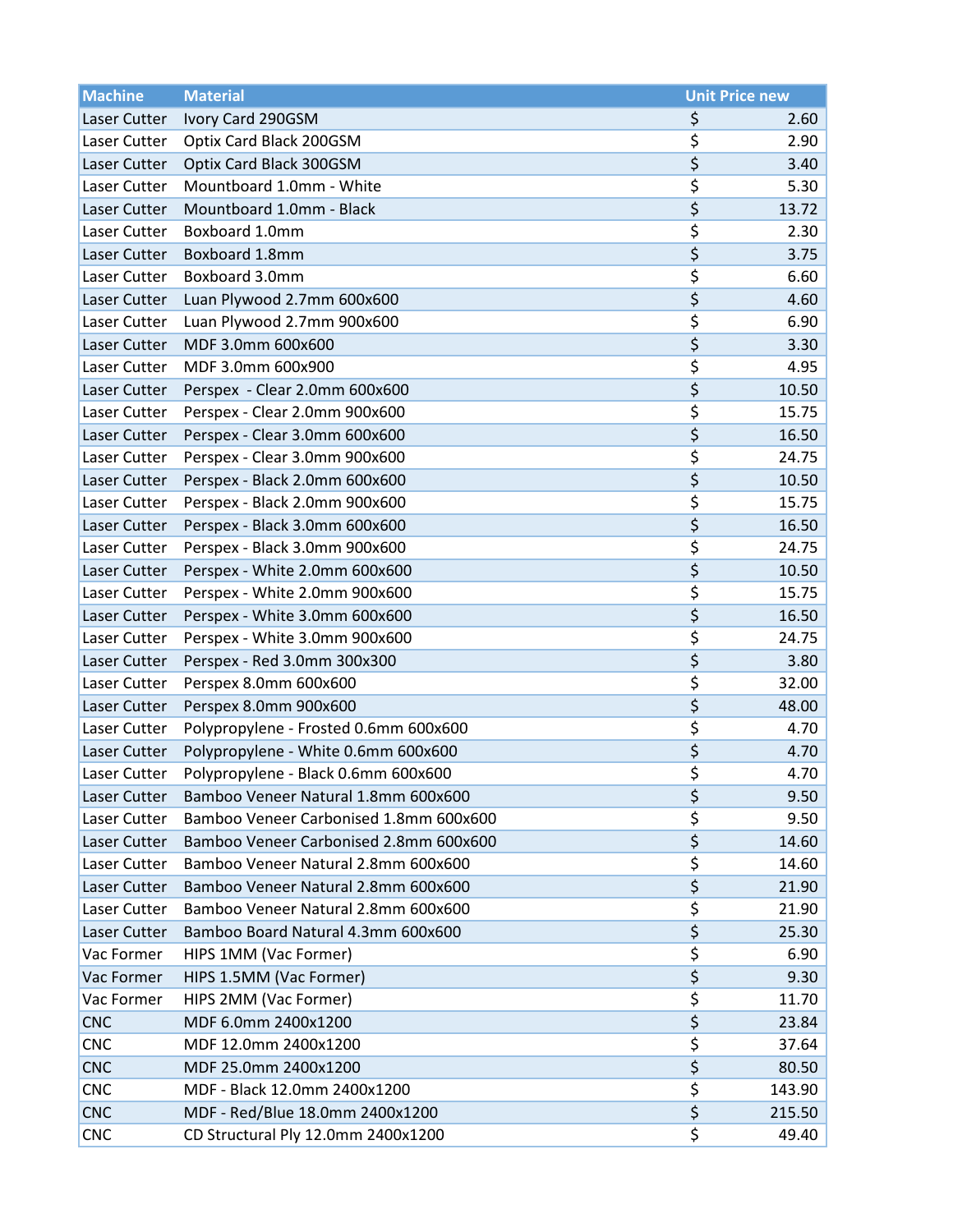| <b>Machine</b> | <b>Material</b>                                                           | <b>Unit Price new</b>                 |                |
|----------------|---------------------------------------------------------------------------|---------------------------------------|----------------|
| Laser Cutter   | Ivory Card 290GSM                                                         | \$                                    | 2.60           |
| Laser Cutter   | Optix Card Black 200GSM                                                   | \$                                    | 2.90           |
| Laser Cutter   | Optix Card Black 300GSM                                                   | \$                                    | 3.40           |
| Laser Cutter   | Mountboard 1.0mm - White                                                  | \$                                    | 5.30           |
| Laser Cutter   | Mountboard 1.0mm - Black                                                  | \$                                    | 13.72          |
| Laser Cutter   | Boxboard 1.0mm                                                            | \$                                    | 2.30           |
| Laser Cutter   | Boxboard 1.8mm                                                            | \$                                    | 3.75           |
| Laser Cutter   | Boxboard 3.0mm                                                            | \$                                    | 6.60           |
| Laser Cutter   | Luan Plywood 2.7mm 600x600                                                | \$                                    | 4.60           |
| Laser Cutter   | Luan Plywood 2.7mm 900x600                                                | \$                                    | 6.90           |
| Laser Cutter   | MDF 3.0mm 600x600                                                         | \$                                    | 3.30           |
| Laser Cutter   | MDF 3.0mm 600x900                                                         | \$                                    | 4.95           |
| Laser Cutter   | Perspex - Clear 2.0mm 600x600                                             | \$                                    | 10.50          |
| Laser Cutter   | Perspex - Clear 2.0mm 900x600                                             | \$                                    | 15.75          |
| Laser Cutter   | Perspex - Clear 3.0mm 600x600                                             | \$                                    | 16.50          |
| Laser Cutter   | Perspex - Clear 3.0mm 900x600                                             | \$                                    | 24.75          |
| Laser Cutter   | Perspex - Black 2.0mm 600x600                                             | \$                                    | 10.50          |
| Laser Cutter   | Perspex - Black 2.0mm 900x600                                             | \$                                    | 15.75          |
| Laser Cutter   | Perspex - Black 3.0mm 600x600                                             | \$                                    | 16.50          |
| Laser Cutter   | Perspex - Black 3.0mm 900x600                                             | \$                                    | 24.75          |
| Laser Cutter   | Perspex - White 2.0mm 600x600                                             | \$                                    | 10.50          |
| Laser Cutter   | Perspex - White 2.0mm 900x600                                             | \$                                    | 15.75          |
| Laser Cutter   | Perspex - White 3.0mm 600x600                                             | \$                                    | 16.50          |
| Laser Cutter   | Perspex - White 3.0mm 900x600                                             | \$                                    | 24.75          |
| Laser Cutter   | Perspex - Red 3.0mm 300x300                                               | \$                                    | 3.80           |
| Laser Cutter   | Perspex 8.0mm 600x600                                                     | \$                                    | 32.00          |
| Laser Cutter   | Perspex 8.0mm 900x600                                                     | \$                                    | 48.00          |
| Laser Cutter   | Polypropylene - Frosted 0.6mm 600x600                                     | \$                                    | 4.70           |
| Laser Cutter   | Polypropylene - White 0.6mm 600x600                                       | \$                                    | 4.70           |
| Laser Cutter   | Polypropylene - Black 0.6mm 600x600                                       | \$                                    | 4.70           |
| Laser Cutter   | Bamboo Veneer Natural 1.8mm 600x600                                       | \$                                    | 9.50           |
| Laser Cutter   | Bamboo Veneer Carbonised 1.8mm 600x600                                    | \$                                    | 9.50           |
| Laser Cutter   | Bamboo Veneer Carbonised 2.8mm 600x600                                    | \$                                    | 14.60          |
| Laser Cutter   | Bamboo Veneer Natural 2.8mm 600x600                                       | \$                                    | 14.60          |
| Laser Cutter   | Bamboo Veneer Natural 2.8mm 600x600                                       | \$                                    | 21.90          |
| Laser Cutter   | Bamboo Veneer Natural 2.8mm 600x600<br>Bamboo Board Natural 4.3mm 600x600 | \$<br>\$                              | 21.90<br>25.30 |
| Laser Cutter   |                                                                           |                                       |                |
| Vac Former     | HIPS 1MM (Vac Former)                                                     | \$                                    | 6.90           |
| Vac Former     | HIPS 1.5MM (Vac Former)                                                   | \$                                    | 9.30           |
| Vac Former     | HIPS 2MM (Vac Former)                                                     | \$                                    | 11.70          |
| <b>CNC</b>     | MDF 6.0mm 2400x1200                                                       | \$                                    | 23.84          |
| <b>CNC</b>     | MDF 12.0mm 2400x1200                                                      | \$<br>$\overline{\boldsymbol{\zeta}}$ | 37.64          |
| <b>CNC</b>     | MDF 25.0mm 2400x1200                                                      |                                       | 80.50          |
| <b>CNC</b>     | MDF - Black 12.0mm 2400x1200                                              | \$<br>\$                              | 143.90         |
| <b>CNC</b>     | MDF - Red/Blue 18.0mm 2400x1200                                           |                                       | 215.50         |
| <b>CNC</b>     | CD Structural Ply 12.0mm 2400x1200                                        | \$                                    | 49.40          |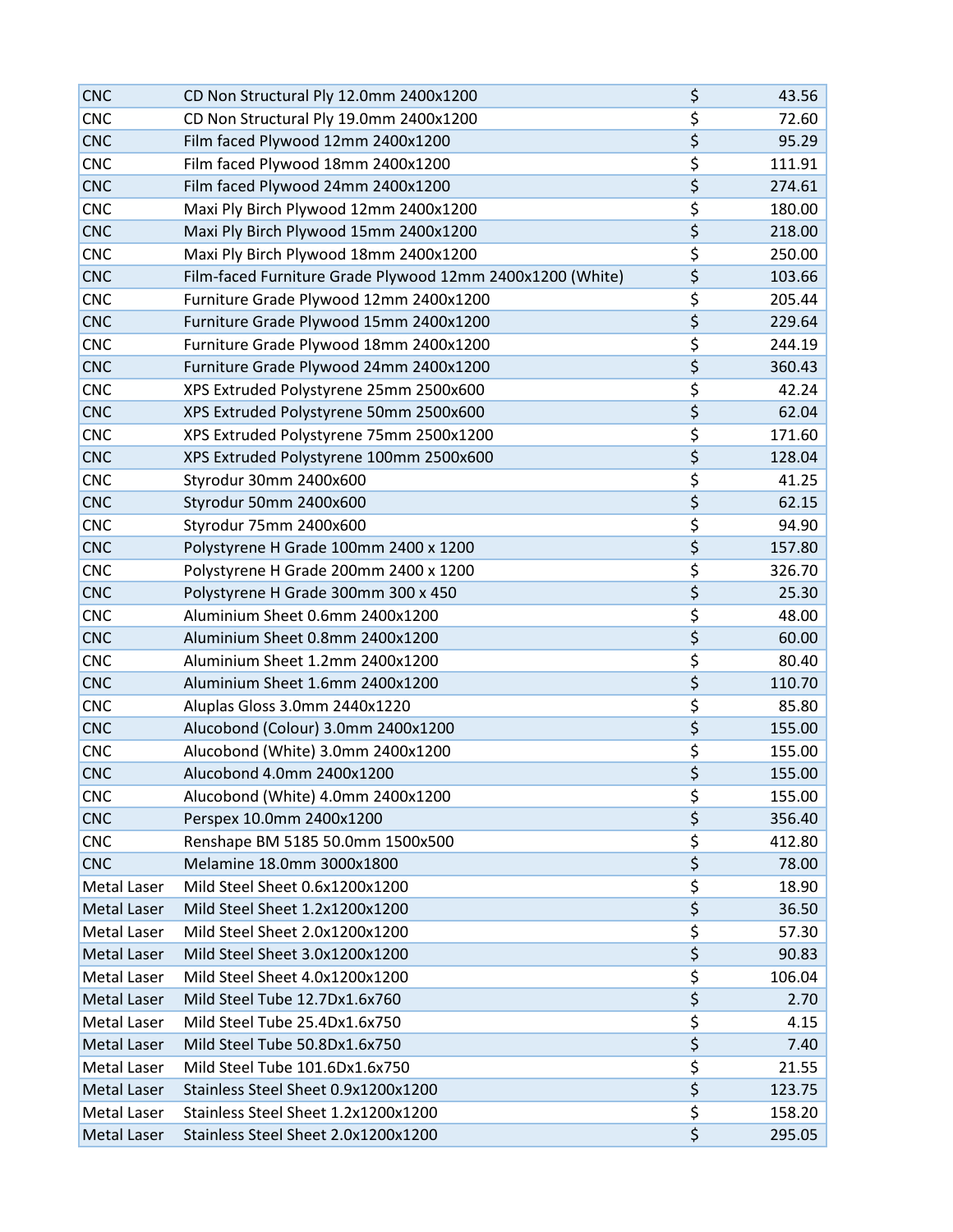| <b>CNC</b>         | CD Non Structural Ply 12.0mm 2400x1200                    | \$                                  | 43.56  |
|--------------------|-----------------------------------------------------------|-------------------------------------|--------|
| <b>CNC</b>         | CD Non Structural Ply 19.0mm 2400x1200                    | \$                                  | 72.60  |
| <b>CNC</b>         | Film faced Plywood 12mm 2400x1200                         | \$                                  | 95.29  |
| <b>CNC</b>         | Film faced Plywood 18mm 2400x1200                         | \$                                  | 111.91 |
| <b>CNC</b>         | Film faced Plywood 24mm 2400x1200                         | \$                                  | 274.61 |
| <b>CNC</b>         | Maxi Ply Birch Plywood 12mm 2400x1200                     | \$                                  | 180.00 |
| <b>CNC</b>         | Maxi Ply Birch Plywood 15mm 2400x1200                     | \$                                  | 218.00 |
| <b>CNC</b>         | Maxi Ply Birch Plywood 18mm 2400x1200                     | \$                                  | 250.00 |
| <b>CNC</b>         | Film-faced Furniture Grade Plywood 12mm 2400x1200 (White) | \$                                  | 103.66 |
| <b>CNC</b>         | Furniture Grade Plywood 12mm 2400x1200                    | \$                                  | 205.44 |
| <b>CNC</b>         | Furniture Grade Plywood 15mm 2400x1200                    | $\overline{\boldsymbol{\zeta}}$     | 229.64 |
| <b>CNC</b>         | Furniture Grade Plywood 18mm 2400x1200                    | \$                                  | 244.19 |
| <b>CNC</b>         | Furniture Grade Plywood 24mm 2400x1200                    | \$                                  | 360.43 |
| <b>CNC</b>         | XPS Extruded Polystyrene 25mm 2500x600                    | \$                                  | 42.24  |
| <b>CNC</b>         | XPS Extruded Polystyrene 50mm 2500x600                    | \$                                  | 62.04  |
| <b>CNC</b>         | XPS Extruded Polystyrene 75mm 2500x1200                   | \$                                  | 171.60 |
| <b>CNC</b>         | XPS Extruded Polystyrene 100mm 2500x600                   | \$                                  | 128.04 |
| <b>CNC</b>         | Styrodur 30mm 2400x600                                    | \$                                  | 41.25  |
| <b>CNC</b>         | Styrodur 50mm 2400x600                                    | \$                                  | 62.15  |
| <b>CNC</b>         | Styrodur 75mm 2400x600                                    | \$                                  | 94.90  |
| <b>CNC</b>         | Polystyrene H Grade 100mm 2400 x 1200                     | \$                                  | 157.80 |
| <b>CNC</b>         | Polystyrene H Grade 200mm 2400 x 1200                     | \$                                  | 326.70 |
| <b>CNC</b>         | Polystyrene H Grade 300mm 300 x 450                       | $\overline{\boldsymbol{\zeta}}$     | 25.30  |
| <b>CNC</b>         | Aluminium Sheet 0.6mm 2400x1200                           | \$                                  | 48.00  |
| <b>CNC</b>         | Aluminium Sheet 0.8mm 2400x1200                           | \$                                  | 60.00  |
| <b>CNC</b>         | Aluminium Sheet 1.2mm 2400x1200                           | \$                                  | 80.40  |
| <b>CNC</b>         | Aluminium Sheet 1.6mm 2400x1200                           | \$                                  | 110.70 |
| <b>CNC</b>         | Aluplas Gloss 3.0mm 2440x1220                             | \$                                  | 85.80  |
| <b>CNC</b>         | Alucobond (Colour) 3.0mm 2400x1200                        | \$                                  | 155.00 |
| <b>CNC</b>         | Alucobond (White) 3.0mm 2400x1200                         | \$                                  | 155.00 |
| <b>CNC</b>         | Alucobond 4.0mm 2400x1200                                 | \$                                  | 155.00 |
| <b>CNC</b>         | Alucobond (White) 4.0mm 2400x1200                         | \$                                  | 155.00 |
| <b>CNC</b>         | Perspex 10.0mm 2400x1200                                  | \$                                  | 356.40 |
| <b>CNC</b>         | Renshape BM 5185 50.0mm 1500x500                          | \$                                  | 412.80 |
| <b>CNC</b>         | Melamine 18.0mm 3000x1800                                 | \$                                  | 78.00  |
| Metal Laser        | Mild Steel Sheet 0.6x1200x1200                            | \$                                  | 18.90  |
| Metal Laser        | Mild Steel Sheet 1.2x1200x1200                            | $\overline{\xi}$                    | 36.50  |
| Metal Laser        | Mild Steel Sheet 2.0x1200x1200                            | \$                                  | 57.30  |
| Metal Laser        | Mild Steel Sheet 3.0x1200x1200                            | $\overline{\boldsymbol{\zeta}}$     | 90.83  |
| Metal Laser        | Mild Steel Sheet 4.0x1200x1200                            | \$                                  | 106.04 |
| Metal Laser        | Mild Steel Tube 12.7Dx1.6x760                             | $\overline{\boldsymbol{\varsigma}}$ | 2.70   |
| Metal Laser        | Mild Steel Tube 25.4Dx1.6x750                             | \$                                  | 4.15   |
| <b>Metal Laser</b> | Mild Steel Tube 50.8Dx1.6x750                             | \$                                  | 7.40   |
| Metal Laser        | Mild Steel Tube 101.6Dx1.6x750                            | \$                                  | 21.55  |
| Metal Laser        | Stainless Steel Sheet 0.9x1200x1200                       | \$                                  | 123.75 |
| Metal Laser        | Stainless Steel Sheet 1.2x1200x1200                       | \$                                  | 158.20 |
| Metal Laser        | Stainless Steel Sheet 2.0x1200x1200                       | \$                                  | 295.05 |